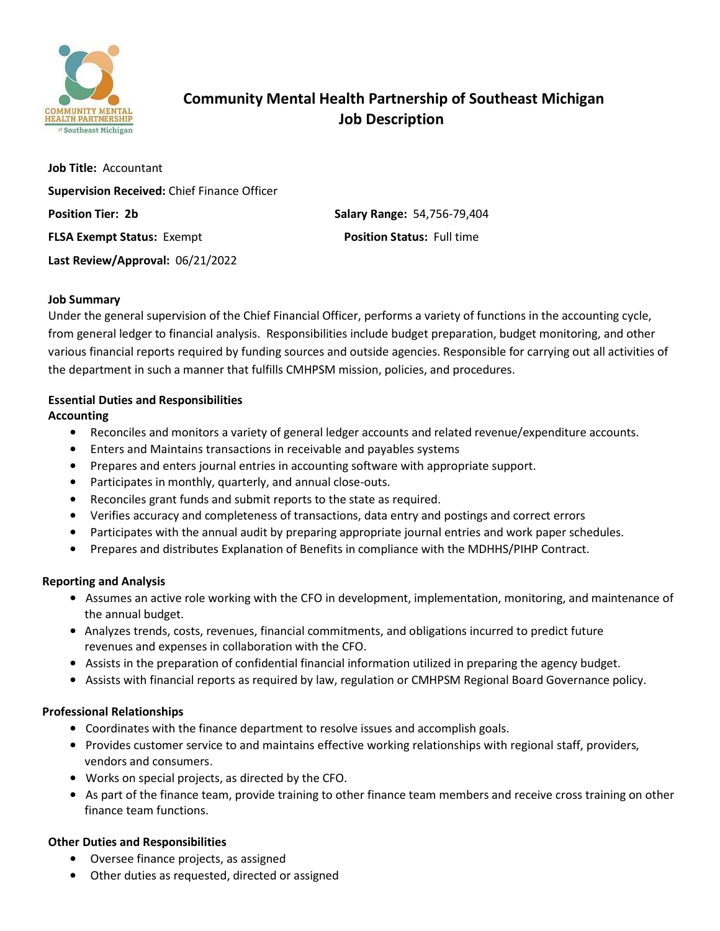

# **Community Mental Health Partnership of Southeast Michigan Job Description**

**Job Title:** Accountant **Supervision Received:** Chief Finance Officer **Position Tier: 2b Salary Range:** 54,756-79,404 **FLSA Exempt Status:** Exempt **Position Status:** Full time **Last Review/Approval:** 06/21/2022

### **Job Summary**

Under the general supervision of the Chief Financial Officer, performs a variety of functions in the accounting cycle, from general ledger to financial analysis. Responsibilities include budget preparation, budget monitoring, and other various financial reports required by funding sources and outside agencies. Responsible for carrying out all activities of the department in such a manner that fulfills CMHPSM mission, policies, and procedures.

## **Essential Duties and Responsibilities**

**Accounting**

- Reconciles and monitors a variety of general ledger accounts and related revenue/expenditure accounts.
- Enters and Maintains transactions in receivable and payables systems
- Prepares and enters journal entries in accounting software with appropriate support.
- Participates in monthly, quarterly, and annual close-outs.
- Reconciles grant funds and submit reports to the state as required.
- Verifies accuracy and completeness of transactions, data entry and postings and correct errors
- Participates with the annual audit by preparing appropriate journal entries and work paper schedules.
- Prepares and distributes Explanation of Benefits in compliance with the MDHHS/PIHP Contract.

## **Reporting and Analysis**

- Assumes an active role working with the CFO in development, implementation, monitoring, and maintenance of the annual budget.
- Analyzes trends, costs, revenues, financial commitments, and obligations incurred to predict future revenues and expenses in collaboration with the CFO.
- Assists in the preparation of confidential financial information utilized in preparing the agency budget.
- Assists with financial reports as required by law, regulation or CMHPSM Regional Board Governance policy.

## **Professional Relationships**

- Coordinates with the finance department to resolve issues and accomplish goals.
- Provides customer service to and maintains effective working relationships with regional staff, providers, vendors and consumers.
- Works on special projects, as directed by the CFO.
- As part of the finance team, provide training to other finance team members and receive cross training on other finance team functions.

## **Other Duties and Responsibilities**

- Oversee finance projects, as assigned
- Other duties as requested, directed or assigned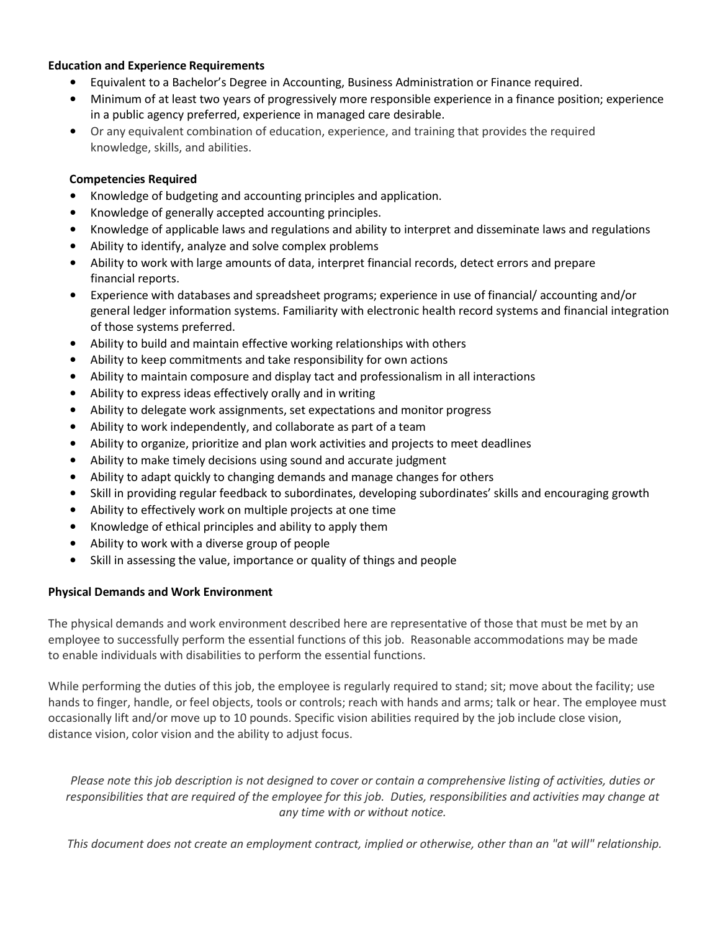### **Education and Experience Requirements**

- Equivalent to a Bachelor's Degree in Accounting, Business Administration or Finance required.
- Minimum of at least two years of progressively more responsible experience in a finance position; experience in a public agency preferred, experience in managed care desirable.
- Or any equivalent combination of education, experience, and training that provides the required knowledge, skills, and abilities.

### **Competencies Required**

- Knowledge of budgeting and accounting principles and application.
- Knowledge of generally accepted accounting principles.
- Knowledge of applicable laws and regulations and ability to interpret and disseminate laws and regulations
- Ability to identify, analyze and solve complex problems
- Ability to work with large amounts of data, interpret financial records, detect errors and prepare financial reports.
- Experience with databases and spreadsheet programs; experience in use of financial/ accounting and/or general ledger information systems. Familiarity with electronic health record systems and financial integration of those systems preferred.
- Ability to build and maintain effective working relationships with others
- Ability to keep commitments and take responsibility for own actions
- Ability to maintain composure and display tact and professionalism in all interactions
- Ability to express ideas effectively orally and in writing
- Ability to delegate work assignments, set expectations and monitor progress
- Ability to work independently, and collaborate as part of a team
- Ability to organize, prioritize and plan work activities and projects to meet deadlines
- Ability to make timely decisions using sound and accurate judgment
- Ability to adapt quickly to changing demands and manage changes for others
- Skill in providing regular feedback to subordinates, developing subordinates' skills and encouraging growth
- Ability to effectively work on multiple projects at one time
- Knowledge of ethical principles and ability to apply them
- Ability to work with a diverse group of people
- Skill in assessing the value, importance or quality of things and people

### **Physical Demands and Work Environment**

The physical demands and work environment described here are representative of those that must be met by an employee to successfully perform the essential functions of this job. Reasonable accommodations may be made to enable individuals with disabilities to perform the essential functions.

While performing the duties of this job, the employee is regularly required to stand; sit; move about the facility; use hands to finger, handle, or feel objects, tools or controls; reach with hands and arms; talk or hear. The employee must occasionally lift and/or move up to 10 pounds. Specific vision abilities required by the job include close vision, distance vision, color vision and the ability to adjust focus.

*Please note this job description is not designed to cover or contain a comprehensive listing of activities, duties or responsibilities that are required of the employee for this job. Duties, responsibilities and activities may change at any time with or without notice.*

*This document does not create an employment contract, implied or otherwise, other than an "at will" relationship.*